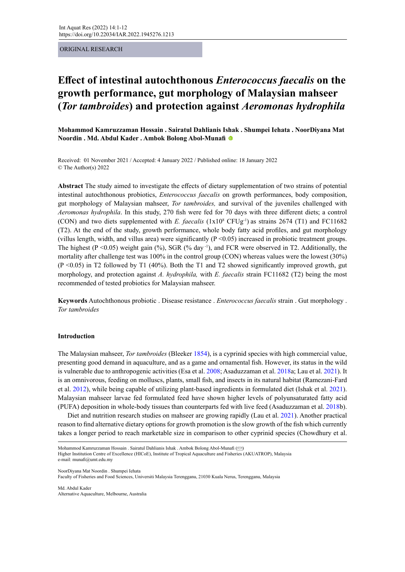ORIGINAL RESEARCH

# **Effect of intestinal autochthonous** *Enterococcus faecalis* **on the growth performance, gut morphology of Malaysian mahseer (***Tor tambroides***) and protection against** *Aeromonas hydrophila*

**Mohammod Kamruzzaman Hossain . Sairatul Dahlianis Ishak . Shumpei Iehata . NoorDiyana Mat Noordin . Md. Abdul Kader . Ambok Bolong Abol-Munafi**

Received: 01 November 2021 / Accepted: 4 January 2022 / Published online: 18 January 2022 © The Author(s) 2022

**Abstract** The study aimed to investigate the effects of dietary supplementation of two strains of potential intestinal autochthonous probiotics, *Enterococcus faecalis* on growth performances, body composition, gut morphology of Malaysian mahseer, *Tor tambroides,* and survival of the juveniles challenged with *Aeromonas hydrophila*. In this study, 270 fish were fed for 70 days with three different diets; a control (CON) and two diets supplemented with *E. faecalis*  $(1x10^8 \text{ CFUg}^{-1})$  as strains 2674 (T1) and FC11682 (T2). At the end of the study, growth performance, whole body fatty acid profiles, and gut morphology (villus length, width, and villus area) were significantly  $(P \le 0.05)$  increased in probiotic treatment groups. The highest (P <0.05) weight gain (%), SGR (% day  $^{-1}$ ), and FCR were observed in T2. Additionally, the mortality after challenge test was 100% in the control group (CON) whereas values were the lowest (30%)  $(P \le 0.05)$  in T2 followed by T1 (40%). Both the T1 and T2 showed significantly improved growth, gut morphology, and protection against *A. hydrophila,* with *E. faecalis* strain FC11682 (T2) being the most recommended of tested probiotics for Malaysian mahseer.

**Keywords** Autochthonous probiotic . Disease resistance . *Enterococcus faecalis* strain . Gut morphology . *Tor tambroides*

# **Introduction**

The Malaysian mahseer, *Tor tambroides* (Bleeker 1854), is a cyprinid species with high commercial value, presenting good demand in aquaculture, and as a game and ornamental fish. However, its status in the wild is vulnerable due to anthropogenic activities (Esa et al. 2008; Asaduzzaman et al. 2018a; Lau et al. 2021). It is an omnivorous, feeding on molluscs, plants, small fish, and insects in its natural habitat (Ramezani-Fard et al. 2012), while being capable of utilizing plant-based ingredients in formulated diet (Ishak et al. 2021). Malaysian mahseer larvae fed formulated feed have shown higher levels of polyunsaturated fatty acid (PUFA) deposition in whole-body tissues than counterparts fed with live feed (Asaduzzaman et al. 2018b).

Diet and nutrition research studies on mahseer are growing rapidly (Lau et al. 2021). Another practical reason to find alternative dietary options for growth promotion is the slow growth of the fish which currently takes a longer period to reach marketable size in comparison to other cyprinid species (Chowdhury et al.

Mohammod Kamruzzaman Hossain . Sairatul Dahlianis Ishak . Ambok Bolong Abol-Munafi [\(](mailto:munafi%40umt.edu.my?subject=) $\odot$ ) Higher Institution Centre of Excellence (HICoE), Institute of Tropical Aquaculture and Fisheries (AKUATROP), Malaysia e-mail: munafi@umt.edu.my

NoorDiyana Mat Noordin . Shumpei Iehata

Faculty of Fisheries and Food Sciences, Universiti Malaysia Terengganu, 21030 Kuala Nerus, Terengganu, Malaysia

Md. Abdul Kader Alternative Aquaculture, Melbourne, Australia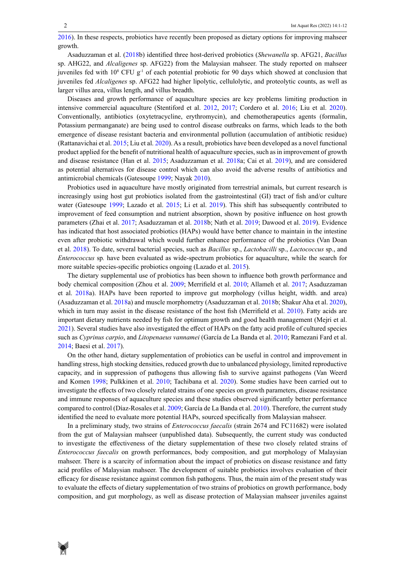2016). In these respects, probiotics have recently been proposed as dietary options for improving mahseer growth.

Asaduzzaman et al. (2018b) identified three host-derived probiotics (*Shewanella* sp. AFG21, *Bacillus* sp. AHG22, and *Alcaligenes* sp. AFG22) from the Malaysian mahseer. The study reported on mahseer juveniles fed with  $10^8$  CFU  $g<sup>-1</sup>$  of each potential probiotic for 90 days which showed at conclusion that juveniles fed *Alcaligenes* sp. AFG22 had higher lipolytic, cellulolytic, and proteolytic counts, as well as larger villus area, villus length, and villus breadth.

Diseases and growth performance of aquaculture species are key problems limiting production in intensive commercial aquaculture (Stentiford et al. 2012, 2017; Cordero et al. 2016; Liu et al. 2020). Conventionally, antibiotics (oxytetracycline, erythromycin), and chemotherapeutics agents (formalin, Potassium permanganate) are being used to control disease outbreaks on farms, which leads to the both emergence of disease resistant bacteria and environmental pollution (accumulation of antibiotic residue) (Rattanavichai et al. 2015; Liu et al. 2020). As a result, probiotics have been developed as a novel functional product applied for the benefit of nutritional health of aquaculture species, such as in improvement of growth and disease resistance (Han et al. 2015; Asaduzzaman et al. 2018a; Cai et al. 2019), and are considered as potential alternatives for disease control which can also avoid the adverse results of antibiotics and antimicrobial chemicals (Gatesoupe 1999; Nayak 2010).

Probiotics used in aquaculture have mostly originated from terrestrial animals, but current research is increasingly using host gut probiotics isolated from the gastrointestinal (GI) tract of fish and/or culture water (Gatesoupe 1999; Lazado et al. 2015; Li et al. 2019). This shift has subsequently contributed to improvement of feed consumption and nutrient absorption, shown by positive influence on host growth parameters (Zhai et al. 2017; Asaduzzaman et al. 2018b; Nath et al. 2019; Dawood et al. 2019). Evidence has indicated that host associated probiotics (HAPs) would have better chance to maintain in the intestine even after probiotic withdrawal which would further enhance performance of the probiotics (Van Doan et al. 2018). To date, several bacterial species, such as *Bacillus* sp., *Lactobacilli* sp., *Lactococcus* sp., and *Enterococcus* sp*.* have been evaluated as wide-spectrum probiotics for aquaculture, while the search for more suitable species-specific probiotics ongoing (Lazado et al. 2015).

The dietary supplemental use of probiotics has been shown to influence both growth performance and body chemical composition (Zhou et al. 2009; Merrifield et al. 2010; Allameh et al. 2017; Asaduzzaman et al. 2018a). HAPs have been reported to improve gut morphology (villus height, width. and area) (Asaduzzaman et al. 2018a) and muscle morphometry (Asaduzzaman et al. 2018b; Shakur Aha et al. 2020), which in turn may assist in the disease resistance of the host fish (Merrifield et al. 2010). Fatty acids are important dietary nutrients needed by fish for optimum growth and good health management (Mejri et al. 2021). Several studies have also investigated the effect of HAPs on the fatty acid profile of cultured species such as *Cyprinus carpio*, and *Litopenaeus vannamei* (García de La Banda et al. 2010; Ramezani Fard et al. 2014; Baesi et al. 2017).

On the other hand, dietary supplementation of probiotics can be useful in control and improvement in handling stress, high stocking densities, reduced growth due to unbalanced physiology, limited reproductive capacity, and in suppression of pathogens thus allowing fish to survive against pathogens (Van Weerd and Komen 1998; Pulkkinen et al. 2010; Tachibana et al. 2020). Some studies have been carried out to investigate the effects of two closely related strains of one species on growth parameters, disease resistance and immune responses of aquaculture species and these studies observed significantly better performance compared to control (Díaz-Rosales et al. 2009; García de La Banda et al. 2010). Therefore, the current study identified the need to evaluate more potential HAPs, sourced specifically from Malaysian mahseer.

In a preliminary study, two strains of *Enterococcus faecalis* (strain 2674 and FC11682) were isolated from the gut of Malaysian mahseer (unpublished data). Subsequently, the current study was conducted to investigate the effectiveness of the dietary supplementation of these two closely related strains of *Enterococcus faecalis* on growth performances, body composition, and gut morphology of Malaysian mahseer. There is a scarcity of information about the impact of probiotics on disease resistance and fatty acid profiles of Malaysian mahseer. The development of suitable probiotics involves evaluation of their efficacy for disease resistance against common fish pathogens. Thus, the main aim of the present study was to evaluate the effects of dietary supplementation of two strains of probiotics on growth performance, body composition, and gut morphology, as well as disease protection of Malaysian mahseer juveniles against

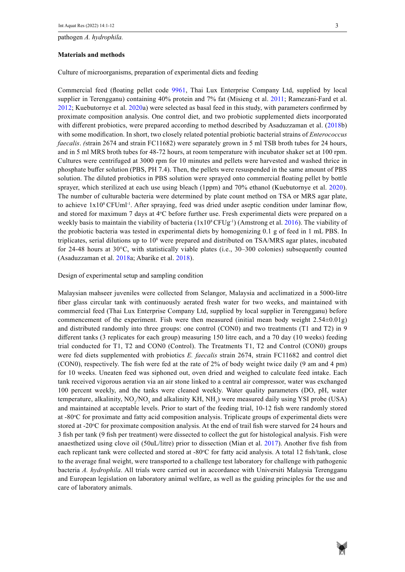pathogen *A. hydrophila.*

#### **Materials and methods**

Culture of microorganisms, preparation of experimental diets and feeding

Commercial feed (floating pellet code 9961, Thai Lux Enterprise Company Ltd, supplied by local supplier in Terengganu) containing 40% protein and 7% fat (Misieng et al. 2011; Ramezani-Fard et al. 2012; Kuebutornye et al. 2020a) were selected as basal feed in this study, with parameters confirmed by proximate composition analysis. One control diet, and two probiotic supplemented diets incorporated with different probiotics, were prepared according to method described by Asaduzzaman et al. (2018b) with some modification. In short, two closely related potential probiotic bacterial strains of *Enterococcus faecalis*. *(strain 2674 and strain FC11682)* were separately grown in 5 ml TSB broth tubes for 24 hours, and in 5 ml MRS broth tubes for 48-72 hours, at room temperature with incubator shaker set at 100 rpm. Cultures were centrifuged at 3000 rpm for 10 minutes and pellets were harvested and washed thrice in phosphate buffer solution (PBS, PH 7.4). Then, the pellets were resuspended in the same amount of PBS solution. The diluted probiotics in PBS solution were sprayed onto commercial floating pellet by bottle sprayer, which sterilized at each use using bleach (1ppm) and 70% ethanol (Kuebutornye et al. 2020). The number of culturable bacteria were determined by plate count method on TSA or MRS agar plate, to achieve  $1x10^8$  CFUml<sup>-1</sup>. After spraying, feed was dried under aseptic condition under laminar flow, and stored for maximum 7 days at 4°C before further use. Fresh experimental diets were prepared on a weekly basis to maintain the viability of bacteria  $(1x10^8$  CFUg<sup>-1</sup>) (Amstrong et al. 2016). The viability of the probiotic bacteria was tested in experimental diets by homogenizing 0.1 g of feed in 1 mL PBS. In triplicates, serial dilutions up to  $10<sup>8</sup>$  were prepared and distributed on TSA/MRS agar plates, incubated for 24-48 hours at 30°C, with statistically viable plates (i.e., 30–300 colonies) subsequently counted (Asaduzzaman et al. 2018a; Abarike et al. 2018).

#### Design of experimental setup and sampling condition

Malaysian mahseer juveniles were collected from Selangor, Malaysia and acclimatized in a 5000-litre fiber glass circular tank with continuously aerated fresh water for two weeks, and maintained with commercial feed (Thai Lux Enterprise Company Ltd, supplied by local supplier in Terengganu) before commencement of the experiment. Fish were then measured (initial mean body weight 2.54±0.01g) and distributed randomly into three groups: one control (CON0) and two treatments (T1 and T2) in 9 different tanks (3 replicates for each group) measuring 150 litre each, and a 70 day (10 weeks) feeding trial conducted for T1, T2 and CON0 (Control). The Treatments T1, T2 and Control (CON0) groups were fed diets supplemented with probiotics *E. faecalis* strain 2674, strain FC11682 and control diet (CON0), respectively. The fish were fed at the rate of 2% of body weight twice daily (9 am and 4 pm) for 10 weeks. Uneaten feed was siphoned out, oven dried and weighed to calculate feed intake. Each tank received vigorous aeration via an air stone linked to a central air compressor, water was exchanged 100 percent weekly, and the tanks were cleaned weekly. Water quality parameters (DO, pH, water temperature, alkalinity,  $NO_2/NO_3$  and alkalinity KH,  $NH_3$ ) were measured daily using YSI probe (USA) and maintained at acceptable levels. Prior to start of the feeding trial, 10-12 fish were randomly stored at -80°C for proximate and fatty acid composition analysis. Triplicate groups of experimental diets were stored at -20°C for proximate composition analysis. At the end of trail fish were starved for 24 hours and 3 fish per tank (9 fish per treatment) were dissected to collect the gut for histological analysis. Fish were anaesthetized using clove oil (50uL/litre) prior to dissection (Mian et al. 2017). Another five fish from each replicant tank were collected and stored at -80°C for fatty acid analysis. A total 12 fish/tank, close to the average final weight, were transported to a challenge test laboratory for challenge with pathogenic bacteria *A. hydrophila*. All trials were carried out in accordance with Universiti Malaysia Terengganu and European legislation on laboratory animal welfare, as well as the guiding principles for the use and care of laboratory animals.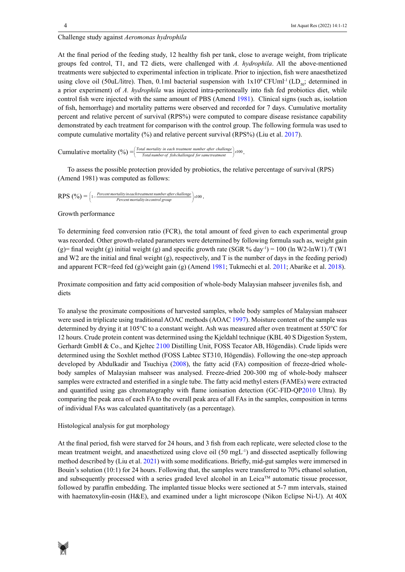# Challenge study against *Aeromonas hydrophila*

At the final period of the feeding study, 12 healthy fish per tank, close to average weight, from triplicate groups fed control, T1, and T2 diets, were challenged with *A. hydrophila*. All the above-mentioned treatments were subjected to experimental infection in triplicate. Prior to injection, fish were anaesthetized using clove oil (50uL/litre). Then, 0.1ml bacterial suspension with  $1x10^8$  CFUml<sup>-1</sup> (LD<sub>60</sub>; determined in a prior experiment) of *A. hydrophila* was injected intra-peritoneally into fish fed probiotics diet, while control fish were injected with the same amount of PBS (Amend 1981). Clinical signs (such as, isolation of fish, hemorrhage) and mortality patterns were observed and recorded for 7 days. Cumulative mortality percent and relative percent of survival (RPS%) were computed to compare disease resistance capability demonstrated by each treatment for comparison with the control group. The following formula was used to compute cumulative mortality (%) and relative percent survival (RPS%) (Liu et al. 2017).

Cumulative mortality  $(%) = \left( \frac{Total$  mortality in each treatment number after challenge  $\right)$   $x100$ .

To assess the possible protection provided by probiotics, the relative percentage of survival (RPS) (Amend 1981) was computed as follows:

 $RPS \ (%) = \left( 1 - \frac{Percent \, mortality \, in \, each \, treatment \, number \, after \, challenge}{Percent \, mortality \, in \, control \, group} \right) \times 100 \, .$ 

# Growth performance

To determining feed conversion ratio (FCR), the total amount of feed given to each experimental group was recorded. Other growth-related parameters were determined by following formula such as, weight gain (g)= final weight (g) initial weight (g) and specific growth rate (SGR % day<sup>-1</sup>) = 100 (ln W2-lnW1)/T (W1) and W2 are the initial and final weight  $(g)$ , respectively, and T is the number of days in the feeding period) and apparent FCR=feed fed (g)/weight gain (g) (Amend 1981; Tukmechi et al. 2011; Abarike et al. 2018).

Proximate composition and fatty acid composition of whole-body Malaysian mahseer juveniles fish, and diets

To analyse the proximate compositions of harvested samples, whole body samples of Malaysian mahseer were used in triplicate using traditional AOAC methods (AOAC 1997). Moisture content of the sample was determined by drying it at 105°C to a constant weight. Ash was measured after oven treatment at 550°C for 12 hours. Crude protein content was determined using the Kjeldahl technique (KBL 40 S Digestion System, Gerhardt GmbH & Co., and Kjeltec 2100 Distilling Unit, FOSS Tecator AB, Högendäs). Crude lipids were determined using the Soxhlet method (FOSS Labtec ST310, Högendäs). Following the one-step approach developed by Abdulkadir and Tsuchiya (2008), the fatty acid (FA) composition of freeze-dried wholebody samples of Malaysian mahseer was analysed. Freeze-dried 200-300 mg of whole-body mahseer samples were extracted and esterified in a single tube. The fatty acid methyl esters (FAMEs) were extracted and quantified using gas chromatography with flame ionisation detection (GC-FID-QP2010 Ultra). By comparing the peak area of each FA to the overall peak area of all FAs in the samples, composition in terms of individual FAs was calculated quantitatively (as a percentage).

# Histological analysis for gut morphology

At the final period, fish were starved for 24 hours, and 3 fish from each replicate, were selected close to the mean treatment weight, and anaesthetized using clove oil (50 mgL-1) and dissected aseptically following method described by (Liu et al. 2021) with some modifications. Briefly, mid-gut samples were immersed in Bouin's solution (10:1) for 24 hours. Following that, the samples were transferred to 70% ethanol solution, and subsequently processed with a series graded level alcohol in an Leica™ automatic tissue processor, followed by paraffin embedding. The implanted tissue blocks were sectioned at 5-7 mm intervals, stained with haematoxylin-eosin (H&E), and examined under a light microscope (Nikon Eclipse Ni-U). At 40X

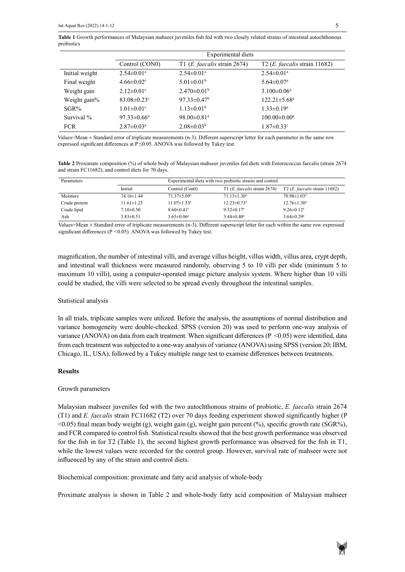**Table 1** Growth performances of Malaysian mahseer juveniles fish fed with two closely related strains of intestinal autochthonous probiotics

|                | Experimental diets            |                                         |                                   |  |
|----------------|-------------------------------|-----------------------------------------|-----------------------------------|--|
|                | Control (CON0)                | T1 ( <i>E. faecalis</i> strain $2674$ ) | T2 ( $E$ . faecalis strain 11682) |  |
| Initial weight | $2.54 \pm 0.01$ <sup>a</sup>  | $2.54 \pm 0.01$ <sup>a</sup>            | $2.54 \pm 0.01^{\text{a}}$        |  |
| Final weight   | $4.66 \pm 0.02$ <sup>c</sup>  | $5.01 \pm 0.01^b$                       | $5.64 \pm 0.07$ <sup>a</sup>      |  |
| Weight gain    | $2.12 \pm 0.01$ °             | $2.470 \pm 0.01^b$                      | $3.100 \pm 0.06^a$                |  |
| Weight gain%   | $83.08 \pm 0.23$ °            | $97.33 \pm 0.47^b$                      | $122.21 \pm 5.68^a$               |  |
| $SGR\%$        | $1.01 \pm 0.01$ <sup>c</sup>  | $1.13 \pm 0.01^b$                       | $1.33 \pm 0.19^a$                 |  |
| Survival %     | 97.33 $\pm$ 0.66 <sup>a</sup> | 98.00 $\pm$ 0.81 <sup>a</sup>           | $100.00 \pm 0.00^{\mathrm{a}}$    |  |
| <b>FCR</b>     | $2.87 \pm 0.03^{\text{a}}$    | $2.08 \pm 0.03^b$                       | $1.87 \pm 0.33$ <sup>c</sup>      |  |

Values=Mean ± Standard error of triplicate measurements (n-3). Different superscript letter for each parameter in the same row expressed significant differences at  $P \leq 0.05$ . ANOVA was followed by Tukey test.

Table 2 Proximate composition (%) of whole body of Malaysian mahseer juveniles fed diets with Enterococcus faecalis (strain 2674 and strain FC11682), and control diets for 70 days.

| Parameters    | Experimental diets with two probiotic strains and control |                               |                                         |                                          |
|---------------|-----------------------------------------------------------|-------------------------------|-----------------------------------------|------------------------------------------|
|               | Initial                                                   | Control (Con0)                | T1 ( <i>E. faecalis</i> strain $2674$ ) | T2 ( <i>E. faecalis</i> strain $11682$ ) |
| Moisture      | 74.16±1.44                                                | $71.37 \pm 5.09^{\circ}$      | $71.13 \pm 1.30^a$                      | $70.98 \pm 1.03$ <sup>a</sup>            |
| Crude protein | $11.61 \pm 1.25$                                          | $11.07 \pm 1.53$ <sup>a</sup> | $12.23 \pm 0.73$ <sup>a</sup>           | $12.76 \pm 1.30^a$                       |
| Crude lipid   | $7.10 \pm 0.50$                                           | $8.60 \pm 0.41$ <sup>a</sup>  | $9.52 \pm 0.17^{\mathrm{a}}$            | $9.26 \pm 0.12^a$                        |
| Ash           | $3.83 \pm 0.51$                                           | $3.65 \pm 0.06^a$             | $3.44 \pm 0.40^a$                       | $3.64 \pm 0.29^a$                        |

values *Mean ± Standard error of triplicate measurements (n-3)*. Different superscript letter for each whilm the same fow expressed<br>significant differences (P <0.05). ANOVA was followed by Tukey test. Values=Mean ± Standard error of triplicate measurements (n-3). Different superscript letter for each within the same row expressed

magnification, the number of intestinal villi, and average villus height, villus width, villus area, crypt depth, and intestinal wall thickness were measured randomly, observing 5 to 10 villi per slide (minimum 5 to maximum 10 villi), using a computer-operated image picture analysis system. Where higher than 10 villi could be studied, the villi were selected to be spread evenly throughout the intestinal samples.

#### Statistical analysis

In all trials, triplicate samples were utilized. Before the analysis, the assumptions of normal distribution and variance homogeneity were double-checked. SPSS (version 20) was used to perform one-way analysis of variance (ANOVA) on data from each treatment. When significant differences ( $P \le 0.05$ ) were identified, data from each treatment was subjected to a one-way analysis of variance (ANOVA) using SPSS (version 20; IBM, Chicago, IL, USA), followed by a Tukey multiple range test to examine differences between treatments.

### **Results**

#### Growth parameters

Malaysian mahseer juveniles fed with the two autochthonous strains of probiotic, *E. faecalis* strain 2674 (T1) and *E. faecalis* strain FC11682 (T2) over 70 days feeding experiment showed significantly higher (P  $(0.05)$  final mean body weight (g), weight gain (g), weight gain percent (%), specific growth rate (SGR%), and FCR compared to control fish. Statistical results showed that the best growth performance was observed for the fish in for T2 (Table 1), the second highest growth performance was observed for the fish in T1, while the lowest values were recorded for the control group. However, survival rate of mahseer were not influenced by any of the strain and control diets.

Biochemical composition: proximate and fatty acid analysis of whole-body

Proximate analysis is shown in Table 2 and whole-body fatty acid composition of Malaysian mahseer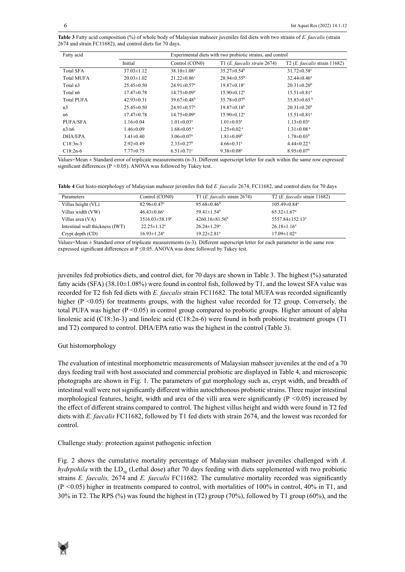Table 3 Fatty acid composition (%) of whole body of Malaysian mahseer juveniles fed diets with two strains of E. faecalis (strain strains of *Enterococcus faecalis* (strain 2674 and strain FC11682), and control diets for 70 days. 2674 and strain FC11682), and control diets for 70 days.

| Fatty acid        | Experimental diets with two probiotic strains, and control |                               |                               |                                         |  |
|-------------------|------------------------------------------------------------|-------------------------------|-------------------------------|-----------------------------------------|--|
|                   | Initial                                                    | Control (CON0)                | T1 (E. faecalis strain 2674)  | $T2$ ( <i>E. faecalis strain</i> 11682) |  |
| <b>Total SFA</b>  | $37.03 \pm 1.12$                                           | $38.10 \pm 1.08^a$            | $35.27 \pm 0.54^{\circ}$      | $31.72 \pm 0.58$ °                      |  |
| <b>Total MUFA</b> | $20.03 \pm 1.02$                                           | $21.22 \pm 0.86$ °            | $28.94 \pm 0.55^{\circ}$      | $32.44 \pm 0.46^a$                      |  |
| Total n3          | $25.45 \pm 0.50$                                           | $24.91 \pm 0.57$ <sup>a</sup> | $19.87 \pm 0.18$ <sup>c</sup> | $20.31 \pm 0.20^b$                      |  |
| Total n6          | $17.47 \pm 0.78$                                           | $14.75 \pm 0.09^a$            | $15.90 \pm 0.12^a$            | $15.51 \pm 0.81$ <sup>a</sup>           |  |
| <b>Total PUFA</b> | $42.93 \pm 0.31$                                           | $39.67 \pm 0.48^{\rm b}$      | $35.78 \pm 0.07^b$            | $35.83 \pm 0.65^{\mathrm{b}}$           |  |
| n <sub>3</sub>    | $25.45 \pm 0.50$                                           | $24.91 \pm 0.57$ <sup>a</sup> | $19.87 \pm 0.18^{\rm b}$      | $20.31 \pm 0.20^b$                      |  |
| n6                | $17.47 \pm 0.78$                                           | $14.75 \pm 0.09^a$            | $15.90 \pm 0.12^a$            | $15.51 \pm 0.81$ <sup>a</sup>           |  |
| PUFA/SFA          | $1.16 \pm 0.04$                                            | $1.01 \pm 0.03^a$             | $1.01 \pm 0.03$ <sup>a</sup>  | $1.13 \pm 0.03^{\text{a}}$              |  |
| n3/n6             | $1.46 \pm 0.09$                                            | $1.68 \pm 0.05$ <sup>a</sup>  | $1.25 \pm 0.02$ <sup>a</sup>  | $1.31 \pm 0.08$ <sup>a</sup>            |  |
| DHA/EPA           | $3.41 \pm 0.40$                                            | $3.06 \pm 0.07$ <sup>a</sup>  | $1.81 \pm 0.09^b$             | $1.78 \pm 0.03^{\rm b}$                 |  |
| $C18:3n-3$        | $2.92 \pm 0.49$                                            | $2.33 \pm 0.27$ <sup>b</sup>  | $4.66 \pm 0.31$ <sup>a</sup>  | 4.44 $\pm$ 0.22 <sup>a</sup>            |  |
| $C18:2n-6$        | $7.77 \pm 0.75$                                            | $6.51 \pm 0.71$ °             | $9.38 \pm 0.08^a$             | $8.95 \pm 0.07^{\rm b}$                 |  |

Values=Mean ± Standard error of triplicate measurements (n-3). Different superscript letter for each within the same row expressed significant differences ( $P < 0.05$ ). ANOVA was followed by Tukey test.

Table 4 Gut histo-morphology of Malaysian mahseer juveniles fish fed *E. faecalis* 2674, FC11682, and control diets for 70 days

| Parameters                      | Control (CON0)                | T1 ( <i>E. faecalis</i> strain $2674$ ) | $T2$ ( <i>E. faecalis</i> strain 11682) |
|---------------------------------|-------------------------------|-----------------------------------------|-----------------------------------------|
| Villus height (VL)              | $82.96 \pm 0.47$ °            | $95.68 \pm 0.46^b$                      | $105.49 \pm 0.84$ <sup>a</sup>          |
| Villus width (VW)               | $46.43 \pm 0.66$ °            | $59.41 \pm 1.54^b$                      | $65.32 \pm 1.67$ <sup>a</sup>           |
| Villus area (VA)                | $3516.03 \pm 58.19$ °         | $4260.16 \pm 81.56^b$                   | $5557.84 \pm 152.13$ <sup>a</sup>       |
| Intestinal wall thickness (IWT) | $22.25 \pm 1.12^a$            | $26.24 \pm 1.29^a$                      | $26.18 \pm 1.16^a$                      |
| Crypt depth (CD)                | $16.93 \pm 1.24$ <sup>a</sup> | $19.22 \pm 2.81$ <sup>a</sup>           | $17.09 \pm 1.02^a$                      |

Values=Mean ± Standard error of triplicate measurements (n-3). Different superscript letter for each parameter in the same row expressed significant differences at P ≤0.05. ANOVA was done followed by Tukey test.

juveniles fed probiotics diets, and control diet, for 70 days are shown in Table 3. The highest (%) saturated fatty acids (SFA) (38.10±1.08%) were found in control fish, followed by T1, and the lowest SFA value was recorded for T2 fish fed diets with *E. faecalis* strain FC11682. The total MUFA was recorded significantly higher (P <0.05) for treatments groups, with the highest value recorded for T2 group. Conversely, the total PUFA was higher (P <0.05) in control group compared to probiotic groups. Higher amount of alpha linolenic acid (C18:3n-3) and linoleic acid (C18:2n-6) were found in both probiotic treatment groups (T1 and T2) compared to control. DHA/EPA ratio was the highest in the control (Table 3).

### Gut histomorphology

The evaluation of intestinal morphometric measurements of Malaysian mahseer juveniles at the end of a 70 days feeding trail with host associated and commercial probiotic are displayed in Table 4, and microscopic photographs are shown in Fig. 1. The parameters of gut morphology such as, crypt width, and breadth of intestinal wall were not significantly different within autochthonous probiotic strains. Three major intestinal morphological features, height, width and area of the villi area were significantly (P *<*0.05) increased by the effect of different strains compared to control. The highest villus height and width were found in T2 fed diets with *E. faecalis* FC11682, followed by T1 fed diets with strain 2674, and the lowest was recorded for control.

Challenge study: protection against pathogenic infection

Fig. 2 shows the cumulative mortality percentage of Malaysian mahseer juveniles challenged with *A. hydrpohila* with the LD<sub>50</sub> (Lethal dose) after 70 days feeding with diets supplemented with two probiotic strains *E. faecalis,* 2674 and *E. faecalis* FC11682. The cumulative mortality recorded was significantly (P *<*0.05) higher in treatments compared to control, with mortalities of 100% in control, 40% in T1, and 30% in T2. The RPS (%) was found the highest in (T2) group (70%), followed by T1 group (60%), and the

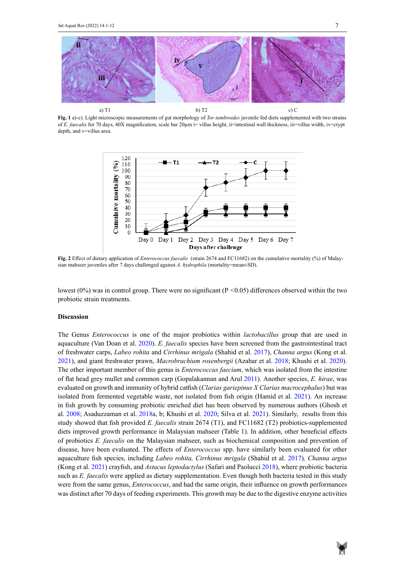

**Fig. 1** a)-c). Light microscopic measurements of gut morphology of *Tor tambroides* juvenile fed diets supplemented with two strains of *E. faecalis* for 70 days, 40X magnification, scale bar 20µm i= villus height, ii=intestinal wall thickness, iii=villus width, iv=crypt depth, and v=villus area.



**Fig. 2** Effect of dietary application of *Enterococcus faecalis* (strain 2674 and FC11682) on the cumulative mortality (%) of Malaysian mahseer juveniles after 7 days challenged against *A. hydrophila* (mortality=mean±SD).

lowest (0%) was in control group. There were no significant (P <0.05) differences observed within the two probiotic strain treatments.  $\frac{1}{\pi}$  here were no significant  $\left(1 - 0.05\right)$  different

#### **Discussion**

The Genus *Enterococcus* is one of the major probiotics within *lactobacillus* group that are used in aquaculture (Van Doan et al. 2020). *E. faecalis* species have been screened from the gastrointestinal tract of freshwater carps, *Labeo rohita* and *Cirrhinus mrigala* (Shahid et al. 2017), *Channa argus* (Kong et al. 2021), and giant freshwater prawn, *Macrobrachium rosenbergii* (Azahar et al. 2018; Khushi et al. 2020). The other important member of this genus is *Enterococcus faecium,* which was isolated from the intestine of flat head grey mullet and common carp (Gopalakannan and Arul 2011). Another species, *E. hirae*, was evaluated on growth and immunity of hybrid catfish (*Clarias gariepinus X Clarias macrocephalus*) but was isolated from fermented vegetable waste, not isolated from fish origin (Hamid et al. 2021). An increase in fish growth by consuming probiotic enriched diet has been observed by numerous authors (Ghosh et al. 2008; Asaduzzaman et al. 2018a, b; Khushi et al. 2020; Silva et al. 2021). Similarly, results from this study showed that fish provided *E. faecalis* strain 2674 (T1), and FC11682 (T2) probiotics-supplemented diets improved growth performance in Malaysian mahseer (Table 1). In addition, other beneficial effects of probiotics *E. faecalis* on the Malaysian mahseer, such as biochemical composition and prevention of disease, have been evaluated. The effects of *Enterococcus* spp. have similarly been evaluated for other aquaculture fish species, including *Labeo rohita, Cirrhinus mrigala* (Shahid et al. 2017)*, Channa argus*  (Kong et al. 2021) crayfish, and *Astacus leptodactylus* (Safari and Paolucci 2018), where probiotic bacteria such as *E. faecalis* were applied as dietary supplementation. Even though both bacteria tested in this study were from the same genus, *Enterococcus*, and had the same origin, their influence on growth performances was distinct after 70 days of feeding experiments. This growth may be due to the digestive enzyme activities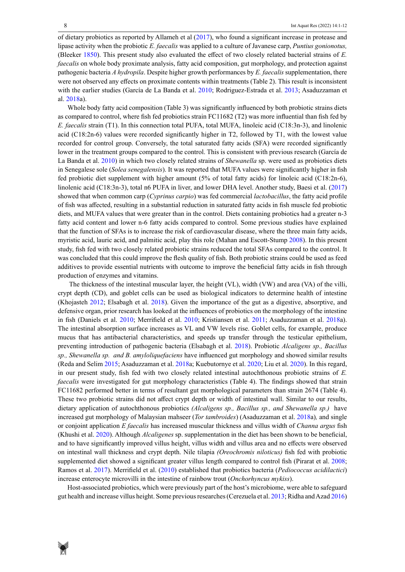of dietary probiotics as reported by Allameh et al (2017), who found a significant increase in protease and lipase activity when the probiotic *E. faecalis* was applied to a culture of Javanese carp, *Puntius gonionotus,*  (Bleeker 1850). This present study also evaluated the effect of two closely related bacterial strains of *E. faecalis* on whole body proximate analysis, fatty acid composition, gut morphology, and protection against pathogenic bacteria *A hydropila*. Despite higher growth performances by *E. faecalis* supplementation, there were not observed any effects on proximate contents within treatments (Table 2). This result is inconsistent with the earlier studies (García de La Banda et al. 2010; Rodriguez-Estrada et al. 2013; Asaduzzaman et al. 2018a).

Whole body fatty acid composition (Table 3) was significantly influenced by both probiotic strains diets as compared to control, where fish fed probiotics strain FC11682 (T2) was more influential than fish fed by *E. faecalis* strain (T1). In this connection total PUFA, total MUFA, linoleic acid (C18:3n-3), and linolenic acid (C18:2n-6) values were recorded significantly higher in T2, followed by T1, with the lowest value recorded for control group. Conversely, the total saturated fatty acids (SFA) were recorded significantly lower in the treatment groups compared to the control. This is consistent with previous research (García de La Banda et al. 2010) in which two closely related strains of *Shewanella* sp. were used as probiotics diets in Senegalese sole (*Solea senegalensis*). It was reported that MUFA values were significantly higher in fish fed probiotic diet supplement with higher amount (5% of total fatty acids) for linoleic acid (C18:2n-6), linolenic acid (C18:3n-3), total n6 PUFA in liver, and lower DHA level. Another study, Baesi et al. (2017) showed that when common carp (*Cyprinus carpio*) was fed commercial *lactobacillus*, the fatty acid profile of fish was affected, resulting in a substantial reduction in saturated fatty acids in fish muscle fed probiotic diets, and MUFA values that were greater than in the control. Diets containing probiotics had a greater n-3 fatty acid content and lower n-6 fatty acids compared to control. Some previous studies have explained that the function of SFAs is to increase the risk of cardiovascular disease, where the three main fatty acids, myristic acid, lauric acid, and palmitic acid, play this role (Mahan and Escott-Stump 2008). In this present study, fish fed with two closely related probiotic strains reduced the total SFAs compared to the control. It was concluded that this could improve the flesh quality of fish. Both probiotic strains could be used as feed additives to provide essential nutrients with outcome to improve the beneficial fatty acids in fish through production of enzymes and vitamins.

 The thickness of the intestinal muscular layer, the height (VL), width (VW) and area (VA) of the villi, crypt depth (CD), and goblet cells can be used as biological indicators to determine health of intestine (Khojasteh 2012; Elsabagh et al. 2018). Given the importance of the gut as a digestive, absorptive, and defensive organ, prior research has looked at the influences of probiotics on the morphology of the intestine in fish (Daniels et al. 2010; Merrifield et al. 2010; Kristiansen et al. 2011; Asaduzzaman et al. 2018a). The intestinal absorption surface increases as VL and VW levels rise. Goblet cells, for example, produce mucus that has antibacterial characteristics, and speeds up transfer through the testicular epithelium, preventing introduction of pathogenic bacteria (Elsabagh et al. 2018). Probiotic *Alcaligens sp., Bacillus sp., Shewanella sp. and B. amyloliquefaciens* have influenced gut morphology and showed similar results (Reda and Selim 2015; Asaduzzaman et al. 2018a; Kuebutornye et al. 2020; Liu et al. 2020). In this regard, in our present study, fish fed with two closely related intestinal autochthonous probiotic strains of *E. faecalis* were investigated for gut morphology characteristics (Table 4). The findings showed that strain FC11682 performed better in terms of resultant gut morphological parameters than strain 2674 (Table 4). These two probiotic strains did not affect crypt depth or width of intestinal wall. Similar to our results, dietary application of autochthonous probiotics *(Alcaligens sp., Bacillus sp., and Shewanella sp.)* have increased gut morphology of Malaysian mahseer (*Tor tambroides*) (Asaduzzaman et al. 2018a)*,* and single or conjoint application *E faecalis* has increased muscular thickness and villus width of *Channa argus* fish (Khushi et al. 2020). Although *Alcaligenes* sp. supplementation in the diet has been shown to be beneficial, and to have significantly improved villus height, villus width and villus area and no effects were observed on intestinal wall thickness and crypt depth. Nile tilapia *(Oreochromis niloticus)* fish fed with probiotic supplemented diet showed a significant greater villus length compared to control fish (Pirarat et al. 2008; Ramos et al. 2017). Merrifield et al. (2010) established that probiotics bacteria (*Pediococcus acidilactici*) increase enterocyte microvilli in the intestine of rainbow trout (*Onchorhyncus mykiss*).

Host-associated probiotics, which were previously part of the host's microbiome, were able to safeguard gut health and increase villus height. Some previous researches (Cerezuela et al. 2013; Ridha and Azad 2016)

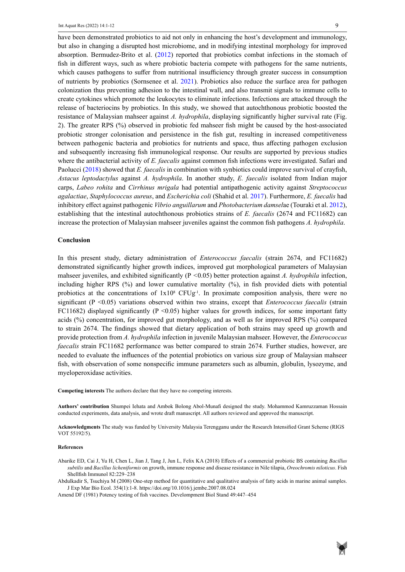have been demonstrated probiotics to aid not only in enhancing the host's development and immunology, but also in changing a disrupted host microbiome, and in modifying intestinal morphology for improved absorption. Bermudez-Brito et al. (2012) reported that probiotics combat infections in the stomach of fish in different ways, such as where probiotic bacteria compete with pathogens for the same nutrients, which causes pathogens to suffer from nutritional insufficiency through greater success in consumption of nutrients by probiotics (Sornsenee et al. 2021). Probiotics also reduce the surface area for pathogen colonization thus preventing adhesion to the intestinal wall, and also transmit signals to immune cells to create cytokines which promote the leukocytes to eliminate infections. Infections are attacked through the release of bacteriocins by probiotics. In this study, we showed that autochthonous probiotic boosted the resistance of Malaysian mahseer against *A. hydrophila*, displaying significantly higher survival rate (Fig. 2). The greater RPS (%) observed in probiotic fed mahseer fish might be caused by the host-associated probiotic stronger colonisation and persistence in the fish gut, resulting in increased competitiveness between pathogenic bacteria and probiotics for nutrients and space, thus affecting pathogen exclusion and subsequently increasing fish immunological response. Our results are supported by previous studies where the antibacterial activity of *E. faecalis* against common fish infections were investigated. Safari and Paolucci (2018) showed that *E. faecalis* in combination with synbiotics could improve survival of crayfish, *Astacus leptodactylus* against *A. hydrophila*. In another study, *E. faecalis* isolated from Indian major carps, *Labeo rohita* and *Cirrhinus mrigala* had potential antipathogenic activity against *Streptococcus agalactiae*, *Staphylococcus aureus*, and *Escherichia coli* (Shahid et al. 2017). Furthermore, *E. faecalis* had inhibitory effect against pathogenic *Vibrio anguillarum* and *Photobacterium damsel*ae (Touraki et al. 2012), establishing that the intestinal autochthonous probiotics strains of *E. faecalis* (2674 and FC11682) can increase the protection of Malaysian mahseer juveniles against the common fish pathogens *A. hydrophila*.

#### **Conclusion**

In this present study, dietary administration of *Enterococcus faecalis* (strain 2674, and FC11682) demonstrated significantly higher growth indices, improved gut morphological parameters of Malaysian mahseer juveniles, and exhibited significantly (P *<*0.05) better protection against *A. hydrophila* infection, including higher RPS (%) and lower cumulative mortality (%), in fish provided diets with potential probiotics at the concentrations of  $1x10^8$  CFUg<sup>-1</sup>. In proximate composition analysis, there were no significant (P <0.05) variations observed within two strains, except that *Enterococcus faecalis* (strain FC11682) displayed significantly ( $P \le 0.05$ ) higher values for growth indices, for some important fatty acids (%) concentration, for improved gut morphology, and as well as for improved RPS (%) compared to strain 2674. The findings showed that dietary application of both strains may speed up growth and provide protection from *A. hydrophila* infection in juvenile Malaysian mahseer. However, the *Enterococcus faecalis* strain FC11682 performance was better compared to strain 2674*.* Further studies, however, are needed to evaluate the influences of the potential probiotics on various size group of Malaysian mahseer fish, with observation of some nonspecific immune parameters such as albumin, globulin, lysozyme, and myeloperoxidase activities.

**Competing interests** The authors declare that they have no competing interests.

**Authors' contribution** Shumpei Iehata and Ambok Bolong Abol-Munafi designed the study. Mohammod Kamruzzaman Hossain conducted experiments, data analysis, and wrote draft manuscript. All authors reviewed and approved the manuscript.

**Acknowledgments** The study was funded by University Malaysia Terengganu under the Research Intensified Grant Scheme (RIGS VOT 55192/5).

#### **References**

Abarike ED, Cai J, Yu H, Chen L, Jian J, Tang J, Jun L, Felix KA (2018) Effects of a commercial probiotic BS containing *Bacillus subtilis* and *Bacillus licheniformis* on growth, immune response and disease resistance in Nile tilapia, *Oreochromis niloticus*. Fish Shellfish Immunol 82:229–238

Abdulkadir S, Tsuchiya M (2008) One-step method for quantitative and qualitative analysis of fatty acids in marine animal samples. J Exp Mar Bio Ecol. 354(1):1-8. https://doi.org/10.1016/j.jembe.2007.08.024

Amend DF (1981) Potency testing of fish vaccines. Develompment Biol Stand 49:447–454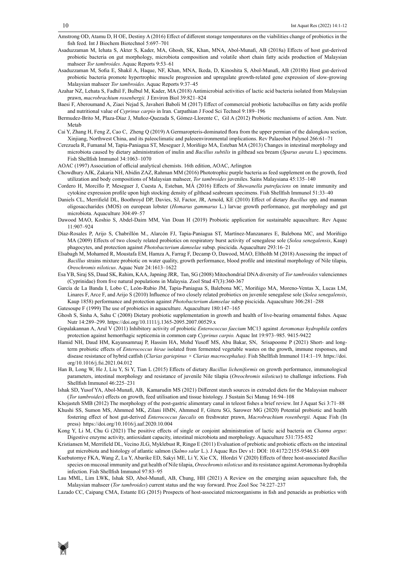- Amstrong OD, Atamu D, H OE, Destiny A (2016) Effect of different storage temperatures on the viabilities change of probiotics in the fish feed. Int J Biochem Biotechnol 5:697–701
- Asaduzzaman M, Iehata S, Akter S, Kader, MA, Ghosh, SK, Khan, MNA, Abol-Munafi, AB (2018a) Effects of host gut-derived probiotic bacteria on gut morphology, microbiota composition and volatile short chain fatty acids production of Malaysian mahseer *Tor tambroides*. Aquac Reports 9:53–61
- Asaduzzaman M, Sofia E, Shakil A, Haque, NF, Khan, MNA, Ikeda, D, Kinoshita S, Abol-Munafi, AB (2018b) Host gut-derived probiotic bacteria promote hypertrophic muscle progression and upregulate growth-related gene expression of slow-growing Malaysian mahseer *Tor tambroides*. Aquac Reports 9:37–45
- Azahar NZ, Lehata S, Fadhil F, Bulbul M, Kader, MA (2018) Antimicrobial activities of lactic acid bacteria isolated from Malaysian prawn, *macrobrachium rosenbergii.* J Environ Biol 39:821–824
- Baesi F, Aberoumand A, Ziaei Nejad S, Javaheri Baboli M (2017) Effect of commercial probiotic lactobacillus on fatty acids profile and nutritional value of *Cyprinus carpio* in Iran. Carpathian J Food Sci Technol 9:189–196
- Bermudez-Brito M, Plaza-Díaz J, Muñoz-Quezada S, Gómez-Llorente C, Gil A (2012) Probiotic mechanisms of action. Ann. Nutr. Metab
- Cai Y, Zhang H, Feng Z, Cao C, Zheng Q (2019) A Germaropteris-dominated flora from the upper permian of the dalongkou section, Xinjiang, Northwest China, and its paleoclimatic and paleoenvironmental implications. Rev Palaeobot Palynol 266:61–71
- Cerezuela R, Fumanal M, Tapia-Paniagua ST, Meseguer J, Moriñigo MA, Esteban MA (2013) Changes in intestinal morphology and microbiota caused by dietary administration of inulin and *Bacillus subtilis* in gilthead sea bream (*Sparus aurata* L.) specimens. Fish Shellfish Immunol 34:1063–1070
- AOAC (1997) Association of official analytical chemists. 16th edition, AOAC, Arlington
- Chowdhury AJK, Zakaria NH, Abidin ZAZ, Rahman MM (2016) Phototrophic purple bacteria as feed supplement on the growth, feed utilization and body compositions of Malaysian mahseer, *Tor tambroides* juveniles. Sains Malaysiana 45:135–140
- Cordero H, Morcillo P, Meseguer J, Cuesta A, Esteban, MÁ (2016) Effects of *Shewanella putrefaciens* on innate immunity and cytokine expression profile upon high stocking density of gilthead seabream specimens. Fish Shellfish Immunol 51:33–40
- Daniels CL, Merrifield DL, Boothroyd DP, Davies, SJ, Factor, JR, Arnold, KE (2010) Effect of dietary *Bacillus* spp. and mannan oligosaccharides (MOS) on european lobster (*Homarus gammarus* L.) larvae growth performance, gut morphology and gut microbiota. Aquaculture 304:49–57
- Dawood MAO, Koshio S, Abdel-Daim MM, Van Doan H (2019) Probiotic application for sustainable aquaculture. Rev Aquac 11:907–924
- Díaz-Rosales P, Arijo S, Chabrillón M., Alarcón FJ, Tapia-Paniagua ST, Martínez-Manzanares E, Balebona MC, and Moriñigo MA (2009) Effects of two closely related probiotics on respiratory burst activity of senegalese sole (*Solea senegalensis*, Kaup) phagocytes, and protection against *Photobacterium damselae* subsp. piscicida. Aquaculture 293:16–21
- Elsabagh M, Mohamed R, Moustafa EM, Hamza A, Farrag F, Decamp O, Dawood, MAO, Eltholth M (2018) Assessing the impact of *Bacillus* strains mixture probiotic on water quality, growth performance, blood profile and intestinal morphology of Nile tilapia, *Oreochromis niloticus*. Aquac Nutr 24:1613–1622
- Esa YB, Siraj SS, Daud SK, Rahim, KAA, Japning JRR, Tan, SG (2008) Mitochondrial DNA diversity of *Tor tambroides* valenciennes (Cyprinidae) from five natural populations in Malaysia. Zool Stud 47(3):360-367
- García de La Banda I, Lobo C, León-Rubio JM, Tapia-Paniagua S, Balebona MC, Moriñigo MA, Moreno-Ventas X, Lucas LM, Linares F, Arce F, and Arijo S (2010) Influence of two closely related probiotics on juvenile senegalese sole (*Solea senegalensis*, Kaup 1858) performance and protection against *Photobacterium damselae* subsp piscicida. Aquaculture 306:281–288
- Gatesoupe F (1999) The use of probiotics in aquaculture. Aquaculture 180:147–165
- Ghosh S, Sinha A, Sahu C (2008) Dietary probiotic supplementation in growth and health of live-bearing ornamental fishes. Aquac Nutr 14:289–299. https://doi.org/10.1111/j.1365-2095.2007.00529.x
- Gopalakannan A, Arul V (2011) Inhibitory activity of probiotic *Enterococcus faecium* MC13 against *Aeromonas hydrophila* confers protection against hemorrhagic septicemia in common carp *Cyprinus carpio.* Aquac Int 19:973–985. 9415-9422
- Hamid NH, Daud HM, Kayansamruaj P, Hassim HA, Mohd Yusoff MS, Abu Bakar, SN, Srisapoome P (2021) Short- and longterm probiotic effects of *Enterococcus hirae* isolated from fermented vegetable wastes on the growth, immune responses, and disease resistance of hybrid catfish (*Clarias gariepinus × Clarias macrocephalus).* Fish Shellfish Immunol 114:1–19. https://doi. org/10.1016/j.fsi.2021.04.012
- Han B, Long W, He J, Liu Y, Si Y, Tian L (2015) Effects of dietary *Bacillus licheniformis* on growth performance, immunological parameters, intestinal morphology and resistance of juvenile Nile tilapia (*Oreochromis niloticus*) to challenge infections. Fish Shellfish Immunol 46:225–231
- Ishak SD, Yusof YA, Abol-Munafi, AB, Kamarudin MS (2021) Different starch sources in extruded diets for the Malaysian mahseer (*Tor tambroides*) effects on growth, feed utilisation and tissue histology. J Sustain Sci Manag 16:94–108
- Khojasteh SMB (2012) The morphology of the post-gastric alimentary canal in teleost fishes a brief review. Int J Aquat Sci 3:71–88
- Khushi SS, Sumon MS, Ahmmed MK, Zilani HMN, Ahmmed F, Giteru SG, Sarower MG (2020) Potential probiotic and health fostering effect of host gut-derived *Enterococcus faecalis* on freshwater prawn, *Macrobrachium rosenbergii.* Aquac Fish (In press) https://doi.org/10.1016/j.aaf.2020.10.004
- Kong Y, Li M, Chu G (2021) The positive effects of single or conjoint administration of lactic acid bacteria on *Channa argus*: Digestive enzyme activity, antioxidant capacity, intestinal microbiota and morphology. Aquaculture 531:735-852
- Kristiansen M, Merrifield DL, Vecino JLG, Myklebust R, Ringø E (2011) Evaluation of prebiotic and probiotic effects on the intestinal gut microbiota and histology of atlantic salmon (*Salmo salar* L.). J Aquac Res Dev s1: DOI: 10.4172/2155-9546.S1-009
- Kuebutornye FKA, Wang Z, Lu Y, Abarike ED, Sakyi ME, Li Y, Xie CX, Hlordzi V (2020) Effects of three host-associated *Bacillus* species on mucosal immunity and gut health of Nile tilapia, *Oreochromis niloticus* and its resistance against Aeromonas hydrophila infection. Fish Shellfish Immunol 97:83–95
- Lau MML, Lim LWK, Ishak SD, Abol-Munafi, AB, Chung, HH (2021) A Review on the emerging asian aquaculture fish, the Malaysian mahseer (*Tor tambroides*) current status and the way forward. Proc Zool Soc 74:227–237
- Lazado CC, Caipang CMA, Estante EG (2015) Prospects of host-associated microorganisms in fish and penaeids as probiotics with



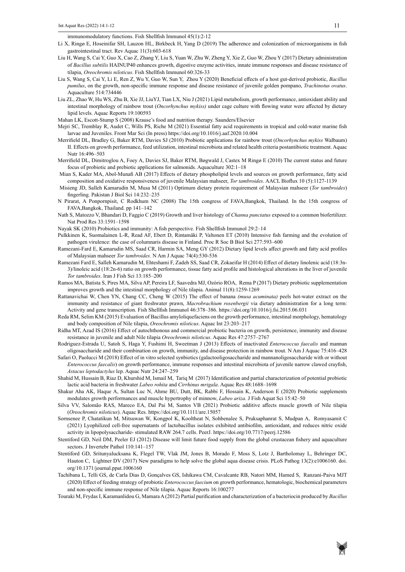immunomodulatory functions. Fish Shellfish Immunol 45(1):2-12

- Li X, Ringø E, Hoseinifar SH, Lauzon HL, Birkbeck H, Yang D (2019) The adherence and colonization of microorganisms in fish gastrointestinal tract. Rev Aquac 11(3):603-618
- Liu H, Wang S, Cai Y, Guo X, Cao Z, Zhang Y, Liu S, Yuan W, Zhu W, Zheng Y, Xie Z, Guo W, Zhou Y (2017) Dietary administration of *Bacillus subtilis* HAINUP40 enhances growth, digestive enzyme activities, innate immune responses and disease resistance of tilapia, *Oreochromis niloticus*. Fish Shellfish Immunol 60:326-33
- Liu S, Wang S, Cai Y, Li E, Ren Z, Wu Y, Guo W, Sun Y, Zhou Y (2020) Beneficial effects of a host gut-derived probiotic, *Bacillus pumilus*, on the growth, non-specific immune response and disease resistance of juvenile golden pompano, *Trachinotus ovatus*. Aquaculture 514:734446
- Liu ZL, Zhao W, Hu WS, Zhu B, Xie JJ, LiuYJ, Tian LX, Niu J (2021) Lipid metabolism, growth performance, antioxidant ability and intestinal morphology of rainbow trout (*Oncorhynchus mykiss)* under cage culture with flowing water were affected by dietary lipid levels. Aquac Reports 19:100593
- Mahan LK, Escott-Stump S (2008) Krause's food and nutrition therapy. Saunders/Elsevier
- Mejri SC, Tremblay R, Audet C, Wills PS, Riche M (2021) Essential fatty acid requirements in tropical and cold-water marine fish larvae and Juveniles. Front Mar Sci (In press) https://doi.org/10.1016/j.aaf.2020.10.004
- Merrifield DL, Bradley G, Baker RTM, Davies SJ (2010) Probiotic applications for rainbow trout (*Oncorhynchus mykiss* Walbaum) II. Effects on growth performance, feed utilization, intestinal microbiota and related health criteria postantibiotic treatment. Aquac Nutr 16:496–503
- Merrifield DL, Dimitroglou A, Foey A, Davies SJ, Baker RTM, Bøgwald J, Castex M Ringø E (2010) The current status and future focus of probiotic and prebiotic applications for salmonids. Aquaculture 302:1–18
- Mian S, Kader MA, Abol-Munafi AB (2017) Effects of dietary phospholipid levels and sources on growth performance, fatty acid composition and oxidative responsiveness of juvenile Malaysian mahseer, *Tor tambroides*. AACL Bioflux 10 (5):1127-1139
- Misieng JD, Salleh Kamarudin M, Musa M (2011) Optimum dietary protein requirement of Malaysian mahseer (*Tor tambroides*) fingerling. Pakistan J Biol Sci 14:232–235
- N Pirarat, A Ponpornpisit, C Rodkhum NC (2008) The 15th congress of FAVA,Bangkok, Thailand. In the 15th congress of FAVA,Bangkok, Thailand. pp 141–142
- Nath S, Matozzo V, Bhandari D, Faggio C (2019) Growth and liver histology of *Channa punctatus* exposed to a common biofertilizer. Nat Prod Res 33:1591–1598
- Nayak SK (2010) Probiotics and immunity: A fish perspective. Fish Shellfish Immunol 29:2–14
- Pulkkinen K, Suomalainen L-R, Read AF, Ebert D, Rintamäki P, Valtonen ET (2010) Intensive fish farming and the evolution of pathogen virulence: the case of columnaris disease in Finland. Proc R Soc B Biol Sci 277:593–600
- Ramezani-Fard E, Kamarudin MS, Saad CR, Harmin SA, Meng GY (2012) Dietary lipid levels affect growth and fatty acid profiles of Malaysian mahseer *Tor tambroides.* N Am J Aquac 74(4):530-536
- Ramezani Fard E, Salleh Kamarudin M, Ehteshami F, Zadeh SS, Saad CR, Zokaeifar H (2014) Effect of dietary linolenic acid (18:3n-3)/linoleic acid (18:2n-6) ratio on growth performance, tissue fatty acid profile and histological alterations in the liver of juvenile *Tor tambroides*. Iran J Fish Sci 13:185–200
- Ramos MA, Batista S, Pires MA, Silva AP, Pereira LF, Saavedra MJ, Ozório ROA, Rema P (2017) Dietary probiotic supplementation improves growth and the intestinal morphology of Nile tilapia. Animal 11(8):1259-1269
- Rattanavichai W, Chen YN, Chang CC, Cheng W (2015) The effect of banana *(musa acuminata)* peels hot-water extract on the immunity and resistance of giant freshwater prawn, *Macrobrachium rosenbergii* via dietary administration for a long term: Activity and gene transcription. Fish Shellfish Immunol 46:378–386. https://doi.org/10.1016/j.fsi.2015.06.031
- Reda RM, Selim KM (2015) Evaluation of Bacillus amyloliquefaciens on the growth performance, intestinal morphology, hematology and body composition of Nile tilapia, *Oreochromis niloticus*. Aquac Int 23:203–217
- Ridha MT, Azad IS (2016) Effect of autochthonous and commercial probiotic bacteria on growth, persistence, immunity and disease resistance in juvenile and adult Nile tilapia *Oreochromis niloticus*. Aquac Res 47:2757–2767
- Rodriguez-Estrada U, Satoh S, Haga Y, Fushimi H, Sweetman J (2013) Effects of inactivated *Enterococcus faecalis* and mannan oligosaccharide and their combination on growth, immunity, and disease protection in rainbow trout. N Am J Aquac 75:416–428
- Safari O, Paolucci M (2018) Effect of in vitro selected synbiotics (galactooligosaccharide and mannanoligosaccharide with or without *Enterococcus faecalis*) on growth performance, immune responses and intestinal microbiota of juvenile narrow clawed crayfish, *Astacus leptodactylus* lep. Aquac Nutr 24:247–259
- Shahid M, Hussain B, Riaz D, Khurshid M, Ismail M, Tariq M (2017) Identification and partial characterization of potential probiotic lactic acid bacteria in freshwater *Labeo rohita* and *Cirrhinus mrigala*. Aquac Res 48:1688–1698
- Shakur Aha AK, Haque A, Sultan Luc N, Ahme BU, Dutt, BK, Rabbi F, Hossain K, Anderson E (2020) Probiotic supplements modulates growth performances and muscle hypertrophy of minnow, *Labeo ariza*. J Fish Aquat Sci 15:42–50
- Silva VV, Salomão RAS, Mareco EA, Dal Pai M, Santos VB (2021) Probiotic additive affects muscle growth of Nile tilapia (*Oreochromis niloticus*). Aquac Res. https://doi.org/10.1111/are.15057
- Sornsenee P, Chatatikun M, Mitsuwan W, Kongpol K, Kooltheat N, Sohbenalee S, Pruksaphanrat S, Mudpan A, Romyasamit C (2021) Lyophilized cell-free supernatants of lactobacillus isolates exhibited antibiofilm, antioxidant, and reduces nitric oxide activity in lipopolysaccharide- stimulated RAW 264.7 cells. PeerJ. https://doi.org/10.7717/peerj.12586
- Stentiford GD, Neil DM, Peeler EJ (2012) Disease will limit future food supply from the global crustacean fishery and aquaculture sectors. J Invertebr Pathol 110:141–157
- Stentiford GD, Sritunyalucksana K, Flegel TW, Vlak JM, Jones B, Morado F, Moss S, Lotz J, Bartholomay L, Behringer DC, Hauton C, Lightner DV (2017) New paradigms to help solve the global aqua disease crisis. PLoS Pathog 13(2):e1006160. doi. org/10.1371/journal.ppat.1006160
- Tachibana L, Telli GS, de Carla Dias D, Gonçalves GS, Ishikawa CM, Cavalcante RB, Natori MM, Hamed S, Ranzani-Paiva MJT (2020) Effect of feeding strategy of probiotic *Enterococcus faecium* on growth performance, hematologic, biochemical parameters and non-specific immune response of Nile tilapia. Aquac Reports 16:100277
- Touraki M, Frydas I, Karamanlidou G, Mamara A (2012) Partial purification and characterization of a bacteriocin produced by *Bacillus*